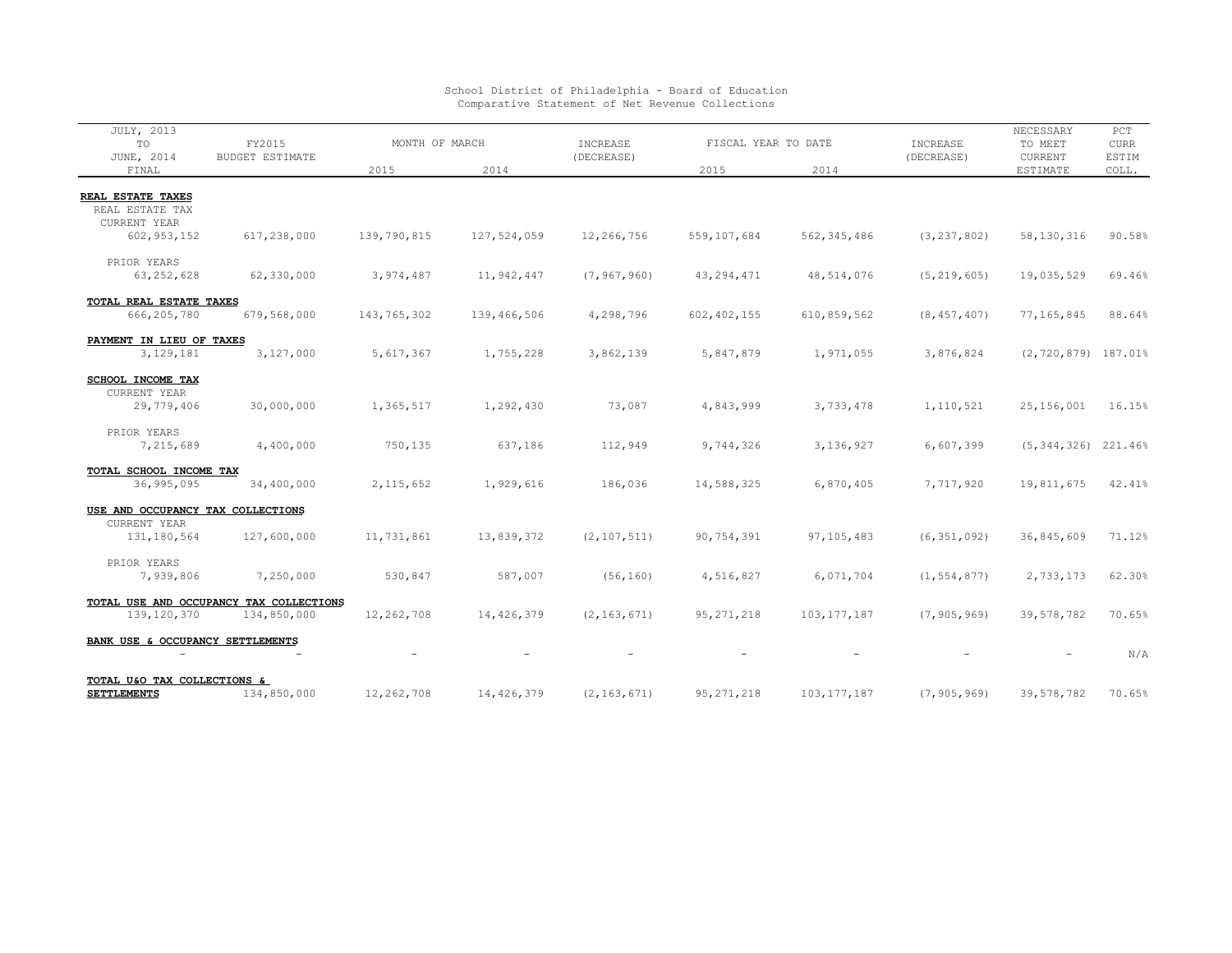| JULY, 2013                                        |                                         |             |                |               |                     |               |               | NECESSARY               | PCT         |
|---------------------------------------------------|-----------------------------------------|-------------|----------------|---------------|---------------------|---------------|---------------|-------------------------|-------------|
| TO                                                | FY2015                                  |             | MONTH OF MARCH |               | FISCAL YEAR TO DATE |               | INCREASE      | TO MEET                 | <b>CURR</b> |
| JUNE, 2014                                        | <b>BUDGET ESTIMATE</b>                  | 2015        | 2014           | (DECREASE)    | 2015                | 2014          | (DECREASE)    | CURRENT                 | ESTIM       |
| FINAL                                             |                                         |             |                |               |                     |               |               | ESTIMATE                | COLL.       |
| REAL ESTATE TAXES                                 |                                         |             |                |               |                     |               |               |                         |             |
| REAL ESTATE TAX                                   |                                         |             |                |               |                     |               |               |                         |             |
| <b>CURRENT YEAR</b>                               |                                         |             |                |               |                     |               |               |                         |             |
| 602, 953, 152                                     | 617,238,000                             | 139,790,815 | 127,524,059    | 12,266,756    | 559,107,684         | 562, 345, 486 | (3, 237, 802) | 58,130,316              | 90.58%      |
| PRIOR YEARS                                       |                                         |             |                |               |                     |               |               |                         |             |
| 63, 252, 628                                      | 62,330,000                              | 3,974,487   | 11,942,447     | (7, 967, 960) | 43, 294, 471        | 48,514,076    | (5, 219, 605) | 19,035,529              | 69.46%      |
| TOTAL REAL ESTATE TAXES                           |                                         |             |                |               |                     |               |               |                         |             |
| 666,205,780                                       | 679,568,000                             | 143,765,302 | 139,466,506    | 4,298,796     | 602, 402, 155       | 610,859,562   | (8, 457, 407) | 77,165,845              | 88.64%      |
|                                                   |                                         |             |                |               |                     |               |               |                         |             |
| PAYMENT IN LIEU OF TAXES<br>3, 129, 181           | 3,127,000                               | 5,617,367   | 1,755,228      | 3,862,139     | 5,847,879           | 1,971,055     | 3,876,824     | $(2, 720, 879)$ 187.01% |             |
|                                                   |                                         |             |                |               |                     |               |               |                         |             |
| SCHOOL INCOME TAX                                 |                                         |             |                |               |                     |               |               |                         |             |
| CURRENT YEAR                                      |                                         |             |                |               |                     |               |               |                         |             |
| 29,779,406                                        | 30,000,000                              | 1,365,517   | 1,292,430      | 73,087        | 4,843,999           | 3,733,478     | 1,110,521     | 25,156,001              | 16.15%      |
| PRIOR YEARS                                       |                                         |             |                |               |                     |               |               |                         |             |
| 7,215,689                                         | 4,400,000                               | 750,135     | 637,186        | 112,949       | 9,744,326           | 3,136,927     | 6,607,399     | $(5, 344, 326)$ 221.46% |             |
| TOTAL SCHOOL INCOME TAX                           |                                         |             |                |               |                     |               |               |                         |             |
| 36,995,095                                        | 34,400,000                              | 2, 115, 652 | 1,929,616      | 186,036       | 14,588,325          | 6,870,405     | 7,717,920     | 19,811,675              | 42.41%      |
|                                                   |                                         |             |                |               |                     |               |               |                         |             |
| USE AND OCCUPANCY TAX COLLECTIONS<br>CURRENT YEAR |                                         |             |                |               |                     |               |               |                         |             |
| 131,180,564                                       | 127,600,000                             | 11,731,861  | 13,839,372     | (2, 107, 511) | 90,754,391          | 97,105,483    | (6, 351, 092) | 36,845,609              | 71.12%      |
|                                                   |                                         |             |                |               |                     |               |               |                         |             |
| PRIOR YEARS                                       |                                         |             |                |               |                     |               |               |                         |             |
| 7,939,806                                         | 7,250,000                               | 530,847     | 587,007        | (56, 160)     | 4,516,827           | 6,071,704     | (1, 554, 877) | 2,733,173               | 62.30%      |
|                                                   | TOTAL USE AND OCCUPANCY TAX COLLECTIONS |             |                |               |                     |               |               |                         |             |
| 139, 120, 370                                     | 134,850,000                             | 12,262,708  | 14,426,379     | (2, 163, 671) | 95, 271, 218        | 103, 177, 187 | (7, 905, 969) | 39,578,782              | 70.65%      |
| BANK USE & OCCUPANCY SETTLEMENTS                  |                                         |             |                |               |                     |               |               |                         |             |
| $\overline{\phantom{m}}$                          |                                         |             |                |               |                     |               |               |                         | N/A         |
|                                                   |                                         |             |                |               |                     |               |               |                         |             |
| TOTAL U&O TAX COLLECTIONS &<br><b>SETTLEMENTS</b> | 134,850,000                             | 12,262,708  | 14,426,379     | (2, 163, 671) | 95, 271, 218        | 103, 177, 187 | (7, 905, 969) | 39,578,782              | 70.65%      |
|                                                   |                                         |             |                |               |                     |               |               |                         |             |

## School District of Philadelphia - Board of Education Comparative Statement of Net Revenue Collections